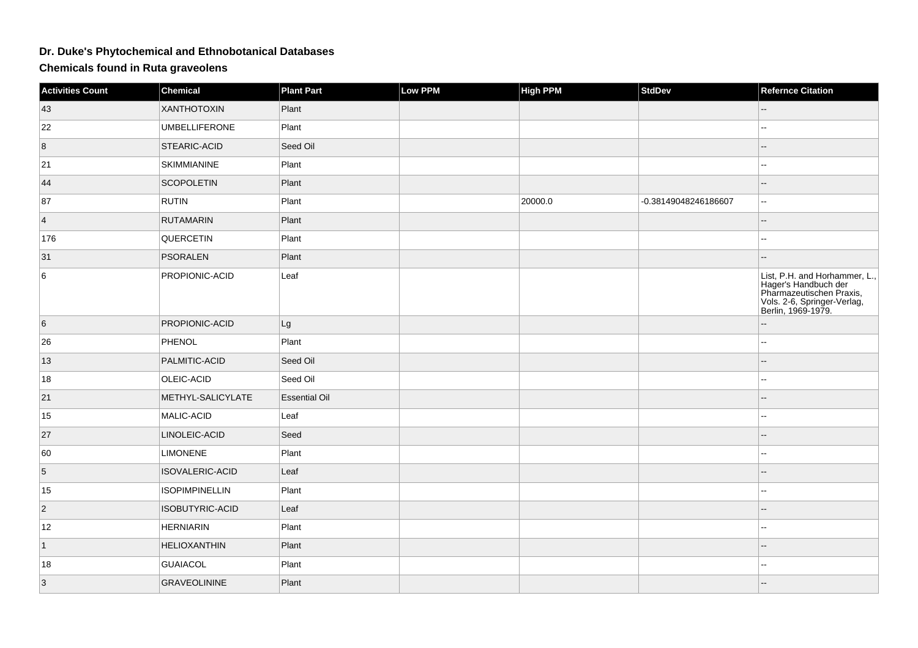## **Dr. Duke's Phytochemical and Ethnobotanical Databases**

**Chemicals found in Ruta graveolens**

| <b>Activities Count</b> | <b>Chemical</b>       | <b>Plant Part</b>    | Low PPM | <b>High PPM</b> | <b>StdDev</b>        | <b>Refernce Citation</b>                                                                                                               |
|-------------------------|-----------------------|----------------------|---------|-----------------|----------------------|----------------------------------------------------------------------------------------------------------------------------------------|
| 43                      | XANTHOTOXIN           | Plant                |         |                 |                      |                                                                                                                                        |
| 22                      | <b>UMBELLIFERONE</b>  | Plant                |         |                 |                      | --                                                                                                                                     |
| 8                       | STEARIC-ACID          | Seed Oil             |         |                 |                      | --                                                                                                                                     |
| 21                      | <b>SKIMMIANINE</b>    | Plant                |         |                 |                      |                                                                                                                                        |
| 44                      | <b>SCOPOLETIN</b>     | Plant                |         |                 |                      | --                                                                                                                                     |
| 87                      | <b>RUTIN</b>          | Plant                |         | 20000.0         | -0.38149048246186607 | $\overline{a}$                                                                                                                         |
| $\overline{4}$          | <b>RUTAMARIN</b>      | Plant                |         |                 |                      |                                                                                                                                        |
| 176                     | QUERCETIN             | Plant                |         |                 |                      | $\overline{a}$                                                                                                                         |
| 31                      | <b>PSORALEN</b>       | Plant                |         |                 |                      | --                                                                                                                                     |
| 6                       | PROPIONIC-ACID        | Leaf                 |         |                 |                      | List, P.H. and Horhammer, L.,<br>Eagle's Handbuch der<br>Pharmazeutischen Praxis,<br>Vols. 2-6, Springer-Verlag,<br>Berlin, 1969-1979. |
| 6                       | PROPIONIC-ACID        | Lg                   |         |                 |                      | --                                                                                                                                     |
| 26                      | PHENOL                | Plant                |         |                 |                      | $\frac{1}{2}$                                                                                                                          |
| 13                      | PALMITIC-ACID         | Seed Oil             |         |                 |                      | --                                                                                                                                     |
| 18                      | OLEIC-ACID            | Seed Oil             |         |                 |                      |                                                                                                                                        |
| 21                      | METHYL-SALICYLATE     | <b>Essential Oil</b> |         |                 |                      |                                                                                                                                        |
| 15                      | MALIC-ACID            | Leaf                 |         |                 |                      |                                                                                                                                        |
| 27                      | LINOLEIC-ACID         | Seed                 |         |                 |                      |                                                                                                                                        |
| 60                      | <b>LIMONENE</b>       | Plant                |         |                 |                      | --                                                                                                                                     |
| $\sqrt{5}$              | ISOVALERIC-ACID       | Leaf                 |         |                 |                      |                                                                                                                                        |
| 15                      | <b>ISOPIMPINELLIN</b> | Plant                |         |                 |                      | $\mathbf{L}$                                                                                                                           |
| $\overline{c}$          | ISOBUTYRIC-ACID       | Leaf                 |         |                 |                      | --                                                                                                                                     |
| 12                      | <b>HERNIARIN</b>      | Plant                |         |                 |                      |                                                                                                                                        |
| $\vert$ 1               | <b>HELIOXANTHIN</b>   | Plant                |         |                 |                      |                                                                                                                                        |
| 18                      | <b>GUAIACOL</b>       | Plant                |         |                 |                      | 44                                                                                                                                     |
| 3                       | <b>GRAVEOLININE</b>   | Plant                |         |                 |                      |                                                                                                                                        |